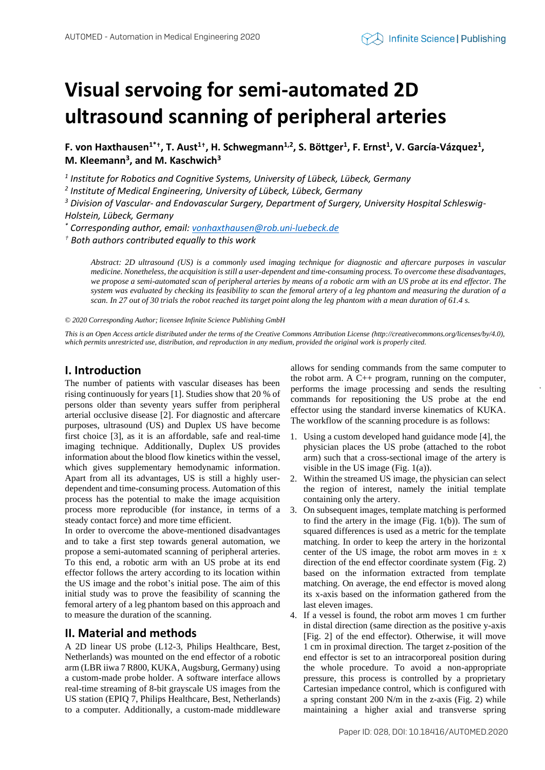# **Visual servoing for semi-automated 2D ultrasound scanning of peripheral arteries**

**F. von Haxthausen1\*† , T. Aust<sup>1</sup>† , H. Schwegmann1,2 , S. Böttger<sup>1</sup> , F. Ernst<sup>1</sup> , V. García-Vázquez<sup>1</sup> , M. Kleemann<sup>3</sup> , and M. Kaschwich<sup>3</sup>**

*1 Institute for Robotics and Cognitive Systems, University of Lübeck, Lübeck, Germany*

*2 Institute of Medical Engineering, University of Lübeck, Lübeck, Germany*

*<sup>3</sup> Division of Vascular- and Endovascular Surgery, Department of Surgery, University Hospital Schleswig-Holstein, Lübeck, Germany*

*\* Corresponding author, email[: vonhaxthausen@rob.uni-luebeck.de](mailto:vonhaxthausen@rob.uni-luebeck.de)*

*† Both authors contributed equally to this work*

*Abstract: 2D ultrasound (US) is a commonly used imaging technique for diagnostic and aftercare purposes in vascular medicine. Nonetheless, the acquisition is still a user-dependent and time-consuming process. To overcome these disadvantages, we propose a semi-automated scan of peripheral arteries by means of a robotic arm with an US probe at its end effector. The system was evaluated by checking its feasibility to scan the femoral artery of a leg phantom and measuring the duration of a scan. In 27 out of 30 trials the robot reached its target point along the leg phantom with a mean duration of 61.4 s.*

*© 2020 Corresponding Author; licensee Infinite Science Publishing GmbH*

*This is an Open Access article distributed under the terms of the Creative Commons Attribution License (http://creativecommons.org/licenses/by/4.0), which permits unrestricted use, distribution, and reproduction in any medium, provided the original work is properly cited.*

# **I. Introduction**

The number of patients with vascular diseases has been rising continuously for years [1]. Studies show that 20 % of persons older than seventy years suffer from peripheral arterial occlusive disease [2]. For diagnostic and aftercare purposes, ultrasound (US) and Duplex US have become first choice [3], as it is an affordable, safe and real-time imaging technique. Additionally, Duplex US provides information about the blood flow kinetics within the vessel, which gives supplementary hemodynamic information. Apart from all its advantages, US is still a highly userdependent and time-consuming process. Automation of this process has the potential to make the image acquisition process more reproducible (for instance, in terms of a steady contact force) and more time efficient.

In order to overcome the above-mentioned disadvantages and to take a first step towards general automation, we propose a semi-automated scanning of peripheral arteries. To this end, a robotic arm with an US probe at its end effector follows the artery according to its location within the US image and the robot's initial pose. The aim of this initial study was to prove the feasibility of scanning the femoral artery of a leg phantom based on this approach and to measure the duration of the scanning.

# **II. Material and methods**

A 2D linear US probe (L12-3, Philips Healthcare, Best, Netherlands) was mounted on the end effector of a robotic arm (LBR iiwa 7 R800, KUKA, Augsburg, Germany) using a custom-made probe holder. A software interface allows real-time streaming of 8-bit grayscale US images from the US station (EPIQ 7, Philips Healthcare, Best, Netherlands) to a computer. Additionally, a custom-made middleware allows for sending commands from the same computer to the robot arm. A C++ program, running on the computer, performs the image processing and sends the resulting commands for repositioning the US probe at the end effector using the standard inverse kinematics of KUKA. The workflow of the scanning procedure is as follows:

- 1. Using a custom developed hand guidance mode [4], the physician places the US probe (attached to the robot arm) such that a cross-sectional image of the artery is visible in the US image (Fig. 1(a)).
- 2. Within the streamed US image, the physician can select the region of interest, namely the initial template containing only the artery.
- 3. On subsequent images, template matching is performed to find the artery in the image (Fig. 1(b)). The sum of squared differences is used as a metric for the template matching. In order to keep the artery in the horizontal center of the US image, the robot arm moves in  $\pm x$ direction of the end effector coordinate system (Fig. 2) based on the information extracted from template matching. On average, the end effector is moved along its x-axis based on the information gathered from the last eleven images.
- 4. If a vessel is found, the robot arm moves 1 cm further in distal direction (same direction as the positive y-axis [Fig. 2] of the end effector). Otherwise, it will move 1 cm in proximal direction. The target z-position of the end effector is set to an intracorporeal position during the whole procedure. To avoid a non-appropriate pressure, this process is controlled by a proprietary Cartesian impedance control, which is configured with a spring constant 200 N/m in the z-axis (Fig. 2) while maintaining a higher axial and transverse spring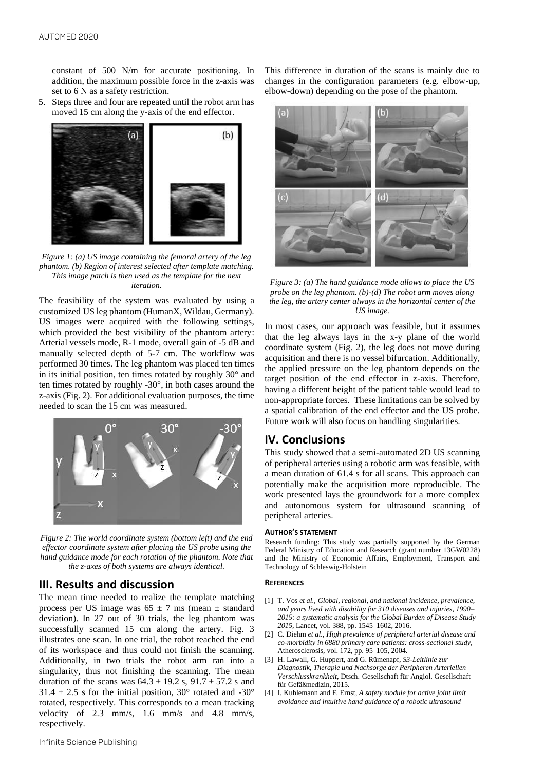constant of 500 N/m for accurate positioning. In addition, the maximum possible force in the z-axis was set to 6 N as a safety restriction.

5. Steps three and four are repeated until the robot arm has moved 15 cm along the y-axis of the end effector.



*Figure 1: (a) US image containing the femoral artery of the leg phantom. (b) Region of interest selected after template matching. This image patch is then used as the template for the next iteration.*

The feasibility of the system was evaluated by using a customized US leg phantom (HumanX, Wildau, Germany). US images were acquired with the following settings, which provided the best visibility of the phantom artery: Arterial vessels mode, R-1 mode, overall gain of -5 dB and manually selected depth of 5-7 cm. The workflow was performed 30 times. The leg phantom was placed ten times in its initial position, ten times rotated by roughly 30° and ten times rotated by roughly -30°, in both cases around the z-axis (Fig. 2). For additional evaluation purposes, the time needed to scan the 15 cm was measured.



*Figure 2: The world coordinate system (bottom left) and the end effector coordinate system after placing the US probe using the hand guidance mode for each rotation of the phantom. Note that the z-axes of both systems are always identical.* 

## **III. Results and discussion**

The mean time needed to realize the template matching process per US image was  $65 \pm 7$  ms (mean  $\pm$  standard deviation). In 27 out of 30 trials, the leg phantom was successfully scanned 15 cm along the artery. Fig. 3 illustrates one scan. In one trial, the robot reached the end of its workspace and thus could not finish the scanning. Additionally, in two trials the robot arm ran into a singularity, thus not finishing the scanning. The mean duration of the scans was  $64.3 \pm 19.2$  s,  $91.7 \pm 57.2$  s and  $31.4 \pm 2.5$  s for the initial position,  $30^{\circ}$  rotated and  $-30^{\circ}$ rotated, respectively. This corresponds to a mean tracking velocity of 2.3 mm/s, 1.6 mm/s and 4.8 mm/s, respectively.

This difference in duration of the scans is mainly due to changes in the configuration parameters (e.g. elbow-up, elbow-down) depending on the pose of the phantom.



*Figure 3: (a) The hand guidance mode allows to place the US probe on the leg phantom. (b)-(d) The robot arm moves along the leg, the artery center always in the horizontal center of the US image.*

In most cases, our approach was feasible, but it assumes that the leg always lays in the x-y plane of the world coordinate system (Fig. 2), the leg does not move during acquisition and there is no vessel bifurcation. Additionally, the applied pressure on the leg phantom depends on the target position of the end effector in z-axis. Therefore, having a different height of the patient table would lead to non-appropriate forces. These limitations can be solved by a spatial calibration of the end effector and the US probe. Future work will also focus on handling singularities.

# **IV. Conclusions**

This study showed that a semi-automated 2D US scanning of peripheral arteries using a robotic arm was feasible, with a mean duration of 61.4 s for all scans. This approach can potentially make the acquisition more reproducible. The work presented lays the groundwork for a more complex and autonomous system for ultrasound scanning of peripheral arteries.

### **AUTHOR'S STATEMENT**

Research funding: This study was partially supported by the German Federal Ministry of Education and Research (grant number 13GW0228) and the Ministry of Economic Affairs, Employment, Transport and Technology of Schleswig-Holstein

### **REFERENCES**

- [1] T. Vos *et al., Global, regional, and national incidence, prevalence, and years lived with disability for 310 diseases and injuries, 1990– 2015: a systematic analysis for the Global Burden of Disease Study 2015*, Lancet, vol. 388, pp. 1545–1602, 2016.
- [2] C. Diehm *et al.*, *High prevalence of peripheral arterial disease and co-morbidity in 6880 primary care patients: cross-sectional study*, Atherosclerosis, vol. 172, pp. 95–105, 2004.
- [3] H. Lawall, G. Huppert, and G. Rümenapf, *S3-Leitlinie zur Diagnostik, Therapie und Nachsorge der Peripheren Arteriellen Verschlusskrankheit,* Dtsch. Gesellschaft für Angiol. Gesellschaft für Gefäßmedizin, 2015.
- [4] I. Kuhlemann and F. Ernst, *A safety module for active joint limit avoidance and intuitive hand guidance of a robotic ultrasound*